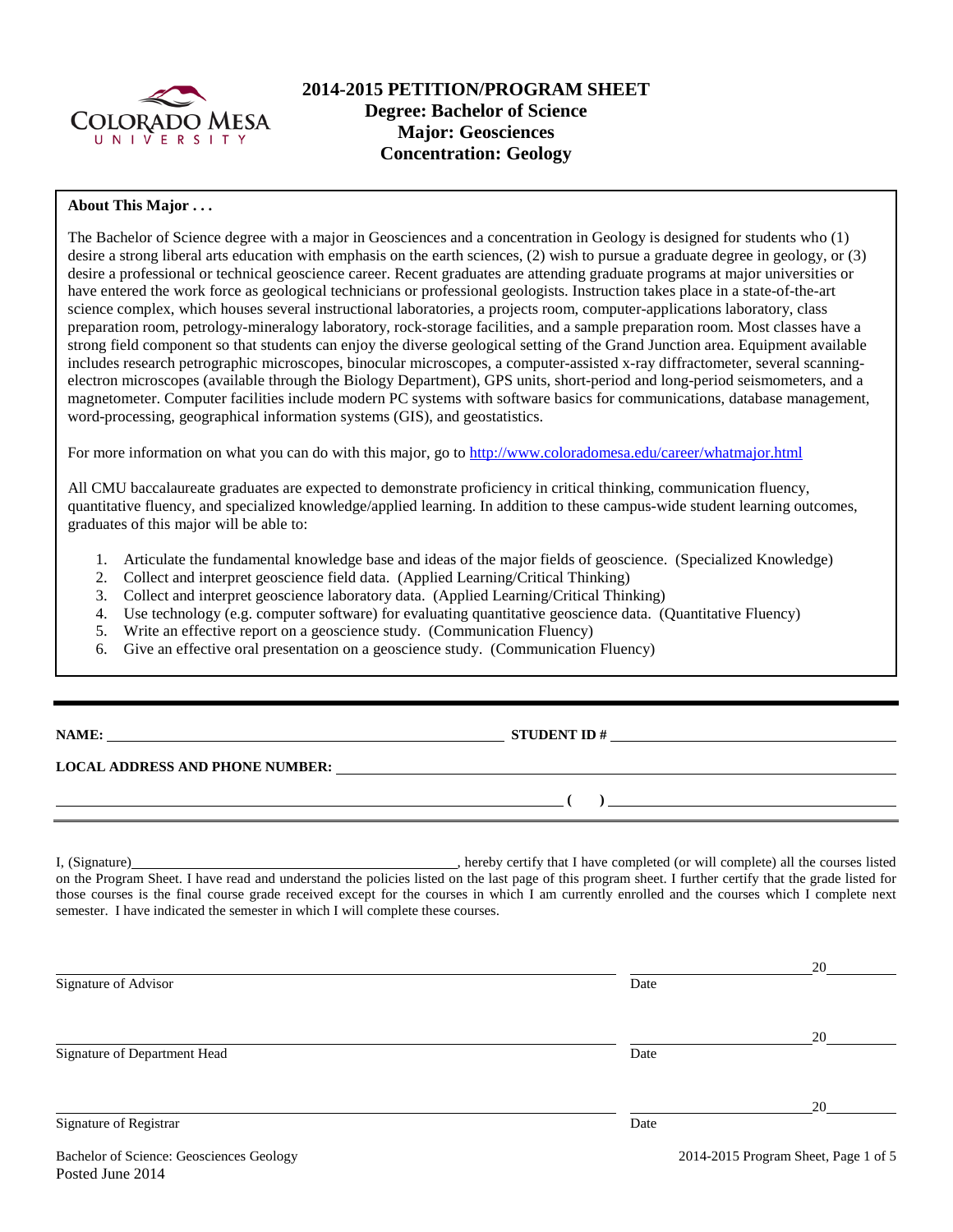

## **2014-2015 PETITION/PROGRAM SHEET Degree: Bachelor of Science Major: Geosciences Concentration: Geology**

### **About This Major . . .**

The Bachelor of Science degree with a major in Geosciences and a concentration in Geology is designed for students who (1) desire a strong liberal arts education with emphasis on the earth sciences, (2) wish to pursue a graduate degree in geology, or (3) desire a professional or technical geoscience career. Recent graduates are attending graduate programs at major universities or have entered the work force as geological technicians or professional geologists. Instruction takes place in a state-of-the-art science complex, which houses several instructional laboratories, a projects room, computer-applications laboratory, class preparation room, petrology-mineralogy laboratory, rock-storage facilities, and a sample preparation room. Most classes have a strong field component so that students can enjoy the diverse geological setting of the Grand Junction area. Equipment available includes research petrographic microscopes, binocular microscopes, a computer-assisted x-ray diffractometer, several scanningelectron microscopes (available through the Biology Department), GPS units, short-period and long-period seismometers, and a magnetometer. Computer facilities include modern PC systems with software basics for communications, database management, word-processing, geographical information systems (GIS), and geostatistics.

For more information on what you can do with this major, go to<http://www.coloradomesa.edu/career/whatmajor.html>

All CMU baccalaureate graduates are expected to demonstrate proficiency in critical thinking, communication fluency, quantitative fluency, and specialized knowledge/applied learning. In addition to these campus-wide student learning outcomes, graduates of this major will be able to:

- 1. Articulate the fundamental knowledge base and ideas of the major fields of geoscience. (Specialized Knowledge)
- 2. Collect and interpret geoscience field data. (Applied Learning/Critical Thinking)
- 3. Collect and interpret geoscience laboratory data. (Applied Learning/Critical Thinking)
- 4. Use technology (e.g. computer software) for evaluating quantitative geoscience data. (Quantitative Fluency)
- 5. Write an effective report on a geoscience study. (Communication Fluency)
- 6. Give an effective oral presentation on a geoscience study. (Communication Fluency)

| NAME |  |
|------|--|
|      |  |

**NAME STUDENT ID #** 

**( )** 

**LOCAL ADDRESS AND PHONE NUMBER:**

I, (Signature) **Source 2008** (Signature) **, hereby certify that I have completed** (or will complete) all the courses listed on the Program Sheet. I have read and understand the policies listed on the last page of this program sheet. I further certify that the grade listed for those courses is the final course grade received except for the courses in which I am currently enrolled and the courses which I complete next semester. I have indicated the semester in which I will complete these courses.

|                              |      | 20 |
|------------------------------|------|----|
| Signature of Advisor         | Date |    |
|                              |      |    |
|                              |      | 20 |
| Signature of Department Head | Date |    |
|                              |      |    |
|                              |      | 20 |
| Signature of Registrar       | Date |    |
|                              |      |    |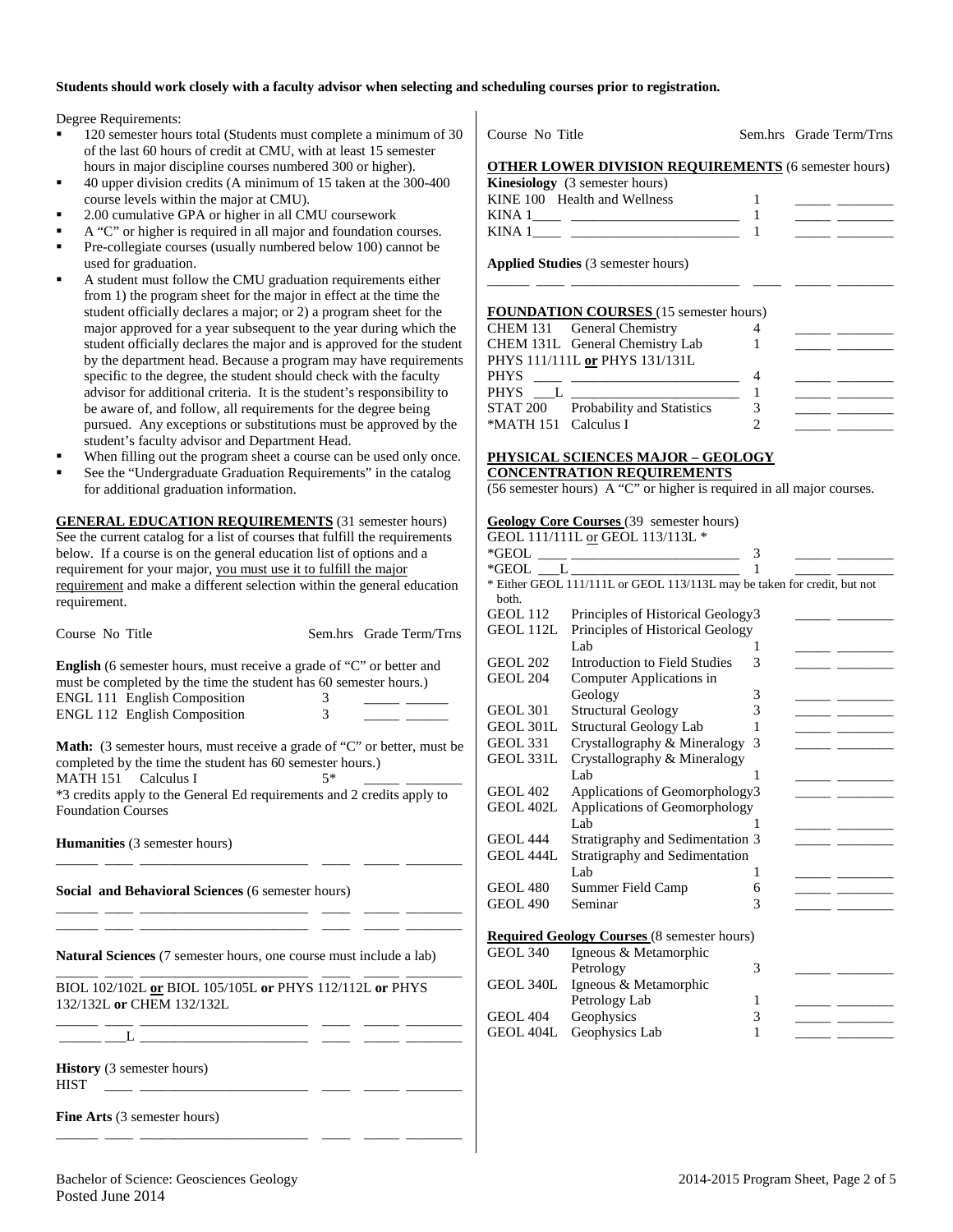#### **Students should work closely with a faculty advisor when selecting and scheduling courses prior to registration.**

Degree Requirements:

- 120 semester hours total (Students must complete a minimum of 30 of the last 60 hours of credit at CMU, with at least 15 semester hours in major discipline courses numbered 300 or higher).
- 40 upper division credits (A minimum of 15 taken at the 300-400 course levels within the major at CMU).
- 2.00 cumulative GPA or higher in all CMU coursework
- A "C" or higher is required in all major and foundation courses.
- Pre-collegiate courses (usually numbered below 100) cannot be used for graduation.
- A student must follow the CMU graduation requirements either from 1) the program sheet for the major in effect at the time the student officially declares a major; or 2) a program sheet for the major approved for a year subsequent to the year during which the student officially declares the major and is approved for the student by the department head. Because a program may have requirements specific to the degree, the student should check with the faculty advisor for additional criteria. It is the student's responsibility to be aware of, and follow, all requirements for the degree being pursued. Any exceptions or substitutions must be approved by the student's faculty advisor and Department Head.
- When filling out the program sheet a course can be used only once.
- See the "Undergraduate Graduation Requirements" in the catalog for additional graduation information.

**GENERAL EDUCATION REQUIREMENTS** (31 semester hours) See the current catalog for a list of courses that fulfill the requirements below. If a course is on the general education list of options and a requirement for your major, you must use it to fulfill the major requirement and make a different selection within the general education requirement.

| Course No Title                                                                                                                                                                                                                                                           |        | Sem.hrs Grade Term/Trns |
|---------------------------------------------------------------------------------------------------------------------------------------------------------------------------------------------------------------------------------------------------------------------------|--------|-------------------------|
| <b>English</b> (6 semester hours, must receive a grade of "C" or better and<br>must be completed by the time the student has 60 semester hours.)<br>ENGL 111 English Composition<br>ENGL 112 English Composition                                                          | 3<br>3 |                         |
| <b>Math:</b> (3 semester hours, must receive a grade of "C" or better, must be<br>completed by the time the student has 60 semester hours.)<br>MATH 151 Calculus I<br>*3 credits apply to the General Ed requirements and 2 credits apply to<br><b>Foundation Courses</b> | $5*$   |                         |
| <b>Humanities</b> (3 semester hours)                                                                                                                                                                                                                                      |        |                         |
| Social and Behavioral Sciences (6 semester hours)                                                                                                                                                                                                                         |        |                         |
| <b>Natural Sciences</b> (7 semester hours, one course must include a lab)                                                                                                                                                                                                 |        |                         |
| BIOL 102/102L or BIOL 105/105L or PHYS 112/112L or PHYS<br>132/132L or CHEM 132/132L<br><u> 1980 - Jan Barbara Barat, manala</u>                                                                                                                                          |        |                         |
|                                                                                                                                                                                                                                                                           |        |                         |
| <b>History</b> (3 semester hours)<br><b>HIST</b><br>the control of the control of the control of                                                                                                                                                                          |        |                         |
| <b>Fine Arts</b> (3 semester hours)                                                                                                                                                                                                                                       |        |                         |
|                                                                                                                                                                                                                                                                           |        |                         |

| Course No Title                                             | Sem.hrs Grade Term/Trns |
|-------------------------------------------------------------|-------------------------|
| <b>OTHER LOWER DIVISION REQUIREMENTS (6 semester hours)</b> |                         |
| <b>Kinesiology</b> (3 semester hours)                       |                         |

| $\mathbf{A}$ $\mathbf{B}$ $\mathbf{B}$ $\mathbf{C}$ $\mathbf{C}$ $\mathbf{D}$ $\mathbf{C}$ $\mathbf{D}$ $\mathbf{C}$ $\mathbf{D}$ $\mathbf{D}$ $\mathbf{D}$ $\mathbf{D}$ $\mathbf{D}$ |  |  |
|---------------------------------------------------------------------------------------------------------------------------------------------------------------------------------------|--|--|
| KINE 100 Health and Wellness                                                                                                                                                          |  |  |
| KINA 1                                                                                                                                                                                |  |  |
| KINA :                                                                                                                                                                                |  |  |
|                                                                                                                                                                                       |  |  |

\_\_\_\_\_\_ \_\_\_\_ \_\_\_\_\_\_\_\_\_\_\_\_\_\_\_\_\_\_\_\_\_\_\_\_ \_\_\_\_ \_\_\_\_\_ \_\_\_\_\_\_\_\_

**Applied Studies** (3 semester hours)

#### **FOUNDATION COURSES** (15 semester hours)

|                      | $\sim$ 0 01.1211101. 00 021025 (10 001110,000 110 010) |  |  |
|----------------------|--------------------------------------------------------|--|--|
|                      | CHEM 131 General Chemistry                             |  |  |
|                      | CHEM 131L General Chemistry Lab                        |  |  |
|                      | PHYS 111/111L or PHYS 131/131L                         |  |  |
| PHYS                 |                                                        |  |  |
| PHYS                 |                                                        |  |  |
|                      | STAT 200 Probability and Statistics                    |  |  |
| *MATH 151 Calculus I |                                                        |  |  |
|                      |                                                        |  |  |

# **PHYSICAL SCIENCES MAJOR – GEOLOGY**

## **CONCENTRATION REQUIREMENTS**

(56 semester hours) A "C" or higher is required in all major courses.

### **Geology Core Courses** (39 semester hours)

GEOL 404L Geophysics Lab 1

|                 | GEOL 111/111L or GEOL 113/113L *                                         |   |  |
|-----------------|--------------------------------------------------------------------------|---|--|
| *GEOL           |                                                                          | 3 |  |
|                 | $*GEOL$ $L$ $\qquad$                                                     |   |  |
| both.           | * Either GEOL 111/111L or GEOL 113/113L may be taken for credit, but not |   |  |
| <b>GEOL 112</b> | Principles of Historical Geology3                                        |   |  |
| GEOL 112L       | Principles of Historical Geology                                         |   |  |
|                 | Lab                                                                      | 1 |  |
| <b>GEOL 202</b> | Introduction to Field Studies                                            | 3 |  |
| <b>GEOL 204</b> | Computer Applications in                                                 |   |  |
|                 | Geology                                                                  | 3 |  |
| <b>GEOL 301</b> | <b>Structural Geology</b>                                                | 3 |  |
| GEOL 301L       | Structural Geology Lab                                                   | 1 |  |
| <b>GEOL 331</b> | Crystallography & Mineralogy                                             | 3 |  |
| GEOL 331L       | Crystallography & Mineralogy                                             |   |  |
|                 | Lab                                                                      | 1 |  |
| <b>GEOL 402</b> | Applications of Geomorphology3                                           |   |  |
| GEOL 402L       | Applications of Geomorphology                                            |   |  |
|                 | Lab                                                                      | 1 |  |
| <b>GEOL 444</b> | Stratigraphy and Sedimentation 3                                         |   |  |
| GEOL 444L       | Stratigraphy and Sedimentation                                           |   |  |
|                 | Lab                                                                      | 1 |  |
| <b>GEOL 480</b> | Summer Field Camp                                                        | 6 |  |
| <b>GEOL 490</b> | Seminar                                                                  | 3 |  |
|                 |                                                                          |   |  |
|                 | <b>Required Geology Courses</b> (8 semester hours)                       |   |  |
| <b>GEOL 340</b> | Igneous & Metamorphic                                                    |   |  |
|                 | Petrology                                                                | 3 |  |
| GEOL 340L       | Igneous & Metamorphic                                                    |   |  |
|                 | Petrology Lab                                                            | 1 |  |
| GEOL 404        | Geophysics                                                               | 3 |  |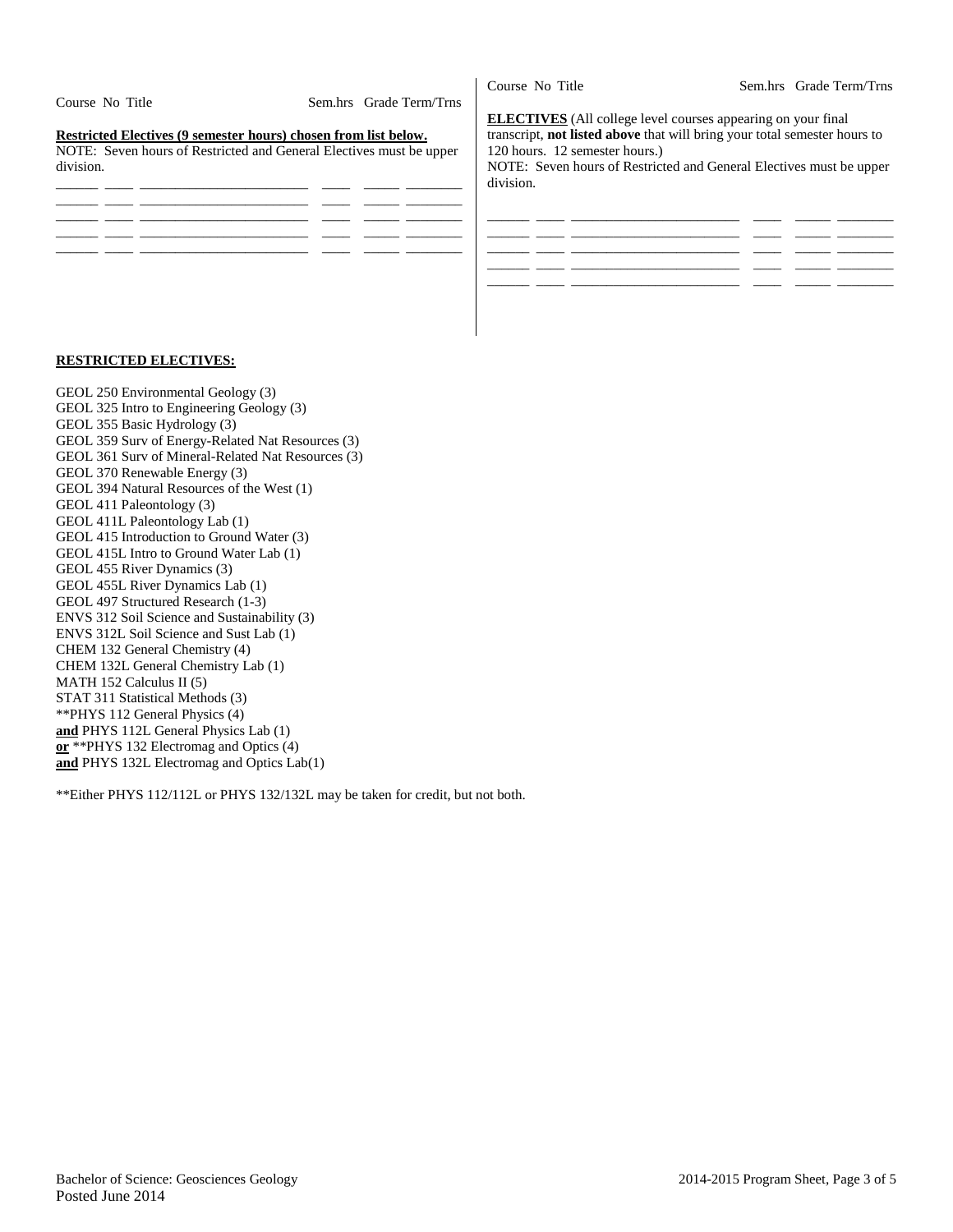|                                                                     |                         | Course No Title                                                                  | Sem.hrs Grade Term/Trns |
|---------------------------------------------------------------------|-------------------------|----------------------------------------------------------------------------------|-------------------------|
| Course No Title                                                     | Sem.hrs Grade Term/Trns |                                                                                  |                         |
|                                                                     |                         | <b>ELECTIVES</b> (All college level courses appearing on your final              |                         |
| Restricted Electives (9 semester hours) chosen from list below.     |                         | transcript, <b>not listed above</b> that will bring your total semester hours to |                         |
| NOTE: Seven hours of Restricted and General Electives must be upper |                         | 120 hours. 12 semester hours.)                                                   |                         |
| division.                                                           |                         | NOTE: Seven hours of Restricted and General Electives must be upper              |                         |
|                                                                     |                         | division.                                                                        |                         |
|                                                                     |                         |                                                                                  |                         |
|                                                                     |                         |                                                                                  |                         |
|                                                                     |                         |                                                                                  |                         |
|                                                                     |                         |                                                                                  |                         |
|                                                                     |                         |                                                                                  |                         |
|                                                                     |                         |                                                                                  |                         |

#### **RESTRICTED ELECTIVES:**

GEOL 250 Environmental Geology (3)

- GEOL 325 Intro to Engineering Geology (3)
- GEOL 355 Basic Hydrology (3)
- GEOL 359 Surv of Energy-Related Nat Resources (3)
- GEOL 361 Surv of Mineral-Related Nat Resources (3)
- GEOL 370 Renewable Energy (3)
- GEOL 394 Natural Resources of the West (1)
- GEOL 411 Paleontology (3) GEOL 411L Paleontology Lab (1)
- GEOL 415 Introduction to Ground Water (3)
- GEOL 415L Intro to Ground Water Lab (1)
- GEOL 455 River Dynamics (3)
- GEOL 455L River Dynamics Lab (1)
- GEOL 497 Structured Research (1-3)
- ENVS 312 Soil Science and Sustainability (3)
- ENVS 312L Soil Science and Sust Lab (1)
- CHEM 132 General Chemistry (4)
- CHEM 132L General Chemistry Lab (1)
- MATH 152 Calculus II (5)

STAT 311 Statistical Methods (3) \*\*PHYS 112 General Physics (4)

**and** PHYS 112L General Physics Lab (1)

- **or** \*\*PHYS 132 Electromag and Optics (4)
- **and** PHYS 132L Electromag and Optics Lab(1)

\*\*Either PHYS 112/112L or PHYS 132/132L may be taken for credit, but not both.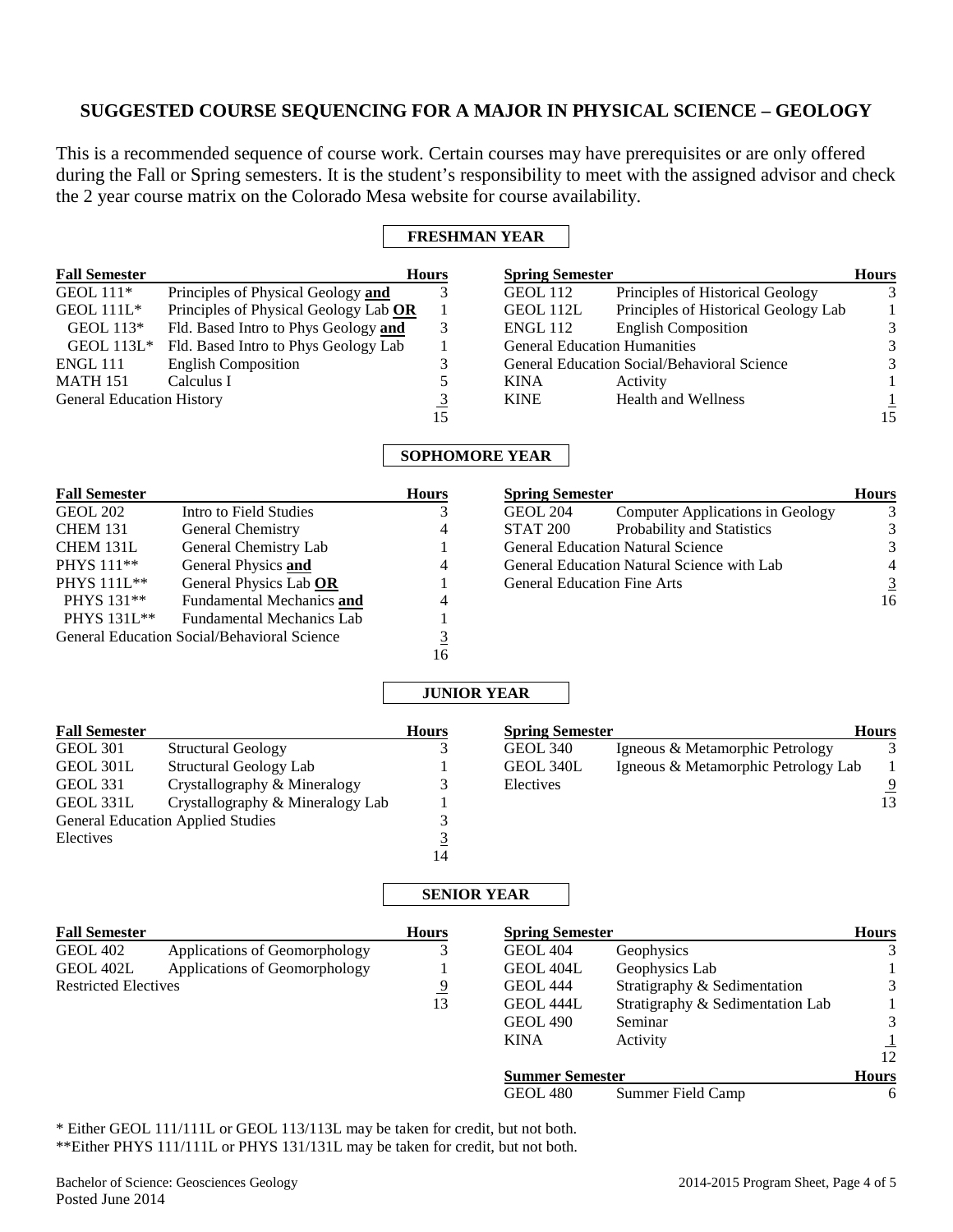## **SUGGESTED COURSE SEQUENCING FOR A MAJOR IN PHYSICAL SCIENCE – GEOLOGY**

This is a recommended sequence of course work. Certain courses may have prerequisites or are only offered during the Fall or Spring semesters. It is the student's responsibility to meet with the assigned advisor and check the 2 year course matrix on the Colorado Mesa website for course availability.

## **FRESHMAN YEAR**

| <b>Fall Semester</b>             |                                                                                     | <b>Hours</b> | <b>Spring Semester</b>              |                                             | <b>Hours</b> |
|----------------------------------|-------------------------------------------------------------------------------------|--------------|-------------------------------------|---------------------------------------------|--------------|
| GEOL $111*$                      | Principles of Physical Geology and                                                  |              | GEOL 112                            | Principles of Historical Geology            | 3            |
| GEOL $111L^*$                    | Principles of Physical Geology Lab OR                                               |              | GEOL 112L                           | Principles of Historical Geology Lab        |              |
| GEOL $113*$                      | Fld. Based Intro to Phys Geology and                                                | 3            | <b>ENGL 112</b>                     | <b>English Composition</b>                  | 3            |
| GEOL $113L^*$                    | Fld. Based Intro to Phys Geology Lab                                                |              | <b>General Education Humanities</b> |                                             |              |
| <b>ENGL 111</b>                  | <b>English Composition</b>                                                          |              |                                     | General Education Social/Behavioral Science | 3            |
| <b>MATH 151</b>                  | Calculus I                                                                          |              | <b>KINA</b>                         | Activity                                    |              |
| <b>General Education History</b> |                                                                                     | <u>3</u>     | <b>KINE</b>                         | Health and Wellness                         |              |
|                                  |                                                                                     | 15           |                                     |                                             | 15           |
|                                  |                                                                                     |              | <b>SOPHOMORE YEAR</b>               |                                             |              |
| <b>Fall Semester</b>             |                                                                                     | <b>Hours</b> | <b>Spring Semester</b>              |                                             | <b>Hours</b> |
| $CDOI-202$                       | $L_{\text{other}}$ and $L_{\text{other}}$ $L_{\text{other}}$ and $L_{\text{other}}$ |              | $C$ $D$ $D$ $D$ $A$                 | C                                           |              |

| Intro to Field Studies                      |    | <b>GEOL 204</b> | Computer Applications in Geology | 3                                                                                                                            |
|---------------------------------------------|----|-----------------|----------------------------------|------------------------------------------------------------------------------------------------------------------------------|
| <b>General Chemistry</b>                    | 4  | STAT 200        | Probability and Statistics       | 3                                                                                                                            |
| General Chemistry Lab                       |    |                 |                                  | 3                                                                                                                            |
| General Physics and                         | 4  |                 |                                  | 4                                                                                                                            |
| General Physics Lab OR                      |    |                 |                                  | 3                                                                                                                            |
| <b>Fundamental Mechanics and</b>            | 4  |                 |                                  | 16                                                                                                                           |
| <b>Fundamental Mechanics Lab</b>            |    |                 |                                  |                                                                                                                              |
| General Education Social/Behavioral Science |    |                 |                                  |                                                                                                                              |
|                                             | 16 |                 |                                  |                                                                                                                              |
|                                             |    |                 |                                  | <b>General Education Natural Science</b><br>General Education Natural Science with Lab<br><b>General Education Fine Arts</b> |

## **JUNIOR YEAR**

| <b>Fall Semester</b> |                                          | <b>Hours</b> | <b>Spring Semester</b> |                                     | <b>Hours</b> |
|----------------------|------------------------------------------|--------------|------------------------|-------------------------------------|--------------|
| GEOL 301             | <b>Structural Geology</b>                |              | GEOL 340               | Igneous & Metamorphic Petrology     |              |
| GEOL 301L            | Structural Geology Lab                   |              | GEOL 340L              | Igneous & Metamorphic Petrology Lab |              |
| <b>GEOL 331</b>      | Crystallography & Mineralogy             |              | Electives              |                                     | 9            |
| GEOL 331L            | Crystallography & Mineralogy Lab         |              |                        |                                     | 13           |
|                      | <b>General Education Applied Studies</b> |              |                        |                                     |              |
| Electives            |                                          |              |                        |                                     |              |
|                      |                                          | 14           |                        |                                     |              |

## **SENIOR YEAR**

| <b>Fall Semester</b>        |                               | <b>Hours</b>   | <b>Spring Semester</b> |                                  | <b>Hours</b> |
|-----------------------------|-------------------------------|----------------|------------------------|----------------------------------|--------------|
| <b>GEOL 402</b>             | Applications of Geomorphology |                | <b>GEOL 404</b>        | Geophysics                       | 3            |
| GEOL 402L                   | Applications of Geomorphology |                | GEOL 404L              | Geophysics Lab                   |              |
| <b>Restricted Electives</b> |                               | $\overline{9}$ | <b>GEOL 444</b>        | Stratigraphy & Sedimentation     | 3            |
|                             |                               | 13             | GEOL 444L              | Stratigraphy & Sedimentation Lab |              |
|                             |                               |                | <b>GEOL 490</b>        | Seminar                          | 3            |
|                             |                               |                | <b>KINA</b>            | Activity                         |              |
|                             |                               |                |                        |                                  | 12           |
|                             |                               |                | <b>Summer Semester</b> |                                  | <b>Hours</b> |
|                             |                               |                | <b>GEOL 480</b>        | Summer Field Camp                | 6            |

\* Either GEOL 111/111L or GEOL 113/113L may be taken for credit, but not both. \*\*Either PHYS 111/111L or PHYS 131/131L may be taken for credit, but not both.